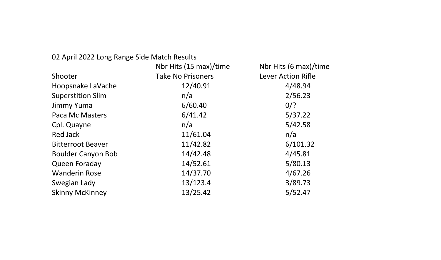#### 02 April 2022 Long Range Side Match Results

| 02 April 2022 Long Range Side Match Results |                          |                       |
|---------------------------------------------|--------------------------|-----------------------|
|                                             | Nbr Hits (15 max)/time   | Nbr Hits (6 max)/time |
| Shooter                                     | <b>Take No Prisoners</b> | Lever Action Rifle    |
| Hoopsnake LaVache                           | 12/40.91                 | 4/48.94               |
| <b>Superstition Slim</b>                    | n/a                      | 2/56.23               |
| Jimmy Yuma                                  | 6/60.40                  | $0$ /?                |
| Paca Mc Masters                             | 6/41.42                  | 5/37.22               |
| Cpl. Quayne                                 | n/a                      | 5/42.58               |
| Red Jack                                    | 11/61.04                 | n/a                   |
| <b>Bitterroot Beaver</b>                    | 11/42.82                 | 6/101.32              |
| Boulder Canyon Bob                          | 14/42.48                 | 4/45.81               |
| Queen Foraday                               | 14/52.61                 | 5/80.13               |
| <b>Wanderin Rose</b>                        | 14/37.70                 | 4/67.26               |
| Swegian Lady                                | 13/123.4                 | 3/89.73               |
| <b>Skinny McKinney</b>                      | 13/25.42                 | 5/52.47               |
|                                             |                          |                       |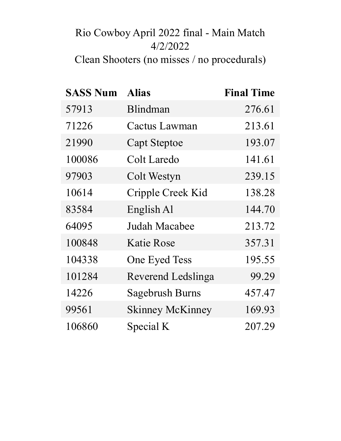# Rio Cowboy April 2022 final - Main Match 4/2/2022 Clean Shooters (no misses / no procedurals)

| <b>SASS Num</b> | <b>Alias</b>            | <b>Final Time</b> |
|-----------------|-------------------------|-------------------|
| 57913           | Blindman                | 276.61            |
| 71226           | <b>Cactus Lawman</b>    | 213.61            |
| 21990           | <b>Capt Steptoe</b>     | 193.07            |
| 100086          | Colt Laredo             | 141.61            |
| 97903           | Colt Westyn             | 239.15            |
| 10614           | Cripple Creek Kid       | 138.28            |
| 83584           | English Al              | 144.70            |
| 64095           | Judah Macabee           | 213.72            |
| 100848          | Katie Rose              | 357.31            |
| 104338          | One Eyed Tess           | 195.55            |
| 101284          | Reverend Ledslinga      | 99.29             |
| 14226           | <b>Sagebrush Burns</b>  | 457.47            |
| 99561           | <b>Skinney McKinney</b> | 169.93            |
| 106860          | Special K               | 207.29            |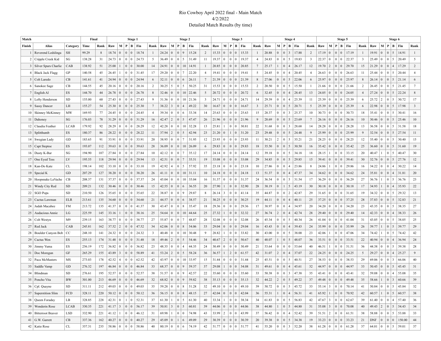#### Rio Cowboy April 2022 final - Main Match 4/2/2022 Detailed Match Results (by time)

| Match  |                          |            | Final  |      |       |                 | Stage 1                           |                                                                         |                |                              |                 | Stage 2                        |                                                   |                         |                                         |                 |                 | Stage 3         |       |                         |       |                 | Stage 4                                    |                        |                         |                |                 |                                   | Stage 5                                           |                |                             |                 |                 | Stage 6         |                 |
|--------|--------------------------|------------|--------|------|-------|-----------------|-----------------------------------|-------------------------------------------------------------------------|----------------|------------------------------|-----------------|--------------------------------|---------------------------------------------------|-------------------------|-----------------------------------------|-----------------|-----------------|-----------------|-------|-------------------------|-------|-----------------|--------------------------------------------|------------------------|-------------------------|----------------|-----------------|-----------------------------------|---------------------------------------------------|----------------|-----------------------------|-----------------|-----------------|-----------------|-----------------|
| Finish | <b>Alias</b>             | Category   | Time   | Rank | Raw   |                 | M   P   B   Fin                   |                                                                         | Rank           | Raw                          | M               | $\mathbf{P}$                   | $B$   Fin                                         | Rank                    | Raw                                     |                 | M   P   B   Fin |                 |       | Rank                    | Raw   |                 |                                            | M   P   B   Fin        | Rank                    | Raw            |                 | $M \mid P$                        | $B$ Fin                                           | Rank           | Raw                         |                 |                 | M   P   B   Fin | Rank            |
|        | 1 Reverend Ledslinga     | SH         | 99.29  | 8    | 18.74 | $\vert 0 \vert$ | $\overline{0}$<br>$\overline{0}$  | 18.74                                                                   |                | 24.24                        | $\mathbf{0}$    | $\mathbf{0}$<br>$\mathbf{Q}$   | 15.24                                             | $\overline{2}$          | 15.33                                   | $\vert 0 \vert$ | $\theta$        | $\mathbf{0}$    | 15.33 | 1                       | 20.88 | $\overline{0}$  | $\overline{0}$<br>3                        | 17.88                  | $\overline{c}$          | 17.19          | $\binom{0}{0}$  | $\mathbf{0}$<br>$\mathbf{0}$      | 17.19                                             | 1              | 19.91                       | $\overline{0}$  | $0 \mid 5$      | 14.91           | $\mathbf{1}$    |
|        | 2   Cripple Creek Kid    | SG         | 138.28 | 31   | 24.73 | $\vert 0 \vert$ | $\mathbf{0}$<br>$\vert 0 \vert$   | 24.73                                                                   | 5              | 36.49                        | $\vert 0 \vert$ | $\mathbf{0}$<br>5              | 31.49                                             | 11                      | 19.37                                   | $\vert 0 \vert$ | $\theta$        | $\mathbf{0}$    | 19.37 | $\overline{4}$          | 24.83 | $\overline{0}$  | 5<br>$\overline{0}$                        | 19.83                  | $\overline{\mathbf{3}}$ | 22.37          | $\vert 0 \vert$ | $\overline{0}$<br>$\mathbf{0}$    | 22.37                                             | 3              | 25.49                       | $\overline{0}$  | $0 \mid 5$      | 20.49           | 5               |
|        | 3   Silver Spurs Charlie | CAB        | 138.92 | 51   | 25.00 |                 | 0 <sup>0</sup>                    | 30.00                                                                   | 14             | 24.91                        | $\vert 0 \vert$ | $\mathbf{0}$<br>10             | 14.91                                             | $\mathbf{1}$            | 20.85                                   | $\vert 0 \vert$ | $\overline{0}$  | $\overline{0}$  | 20.85 | $7\phantom{.0}$         | 25.17 | $\mathbf{1}$    | $\overline{0}$<br>$\overline{4}$           | 26.17                  | 12                      | $19.70$   2    |                 | $\mathbf{0}$<br>$\mathbf{0}$      | 29.70                                             | 15             | 21.29                       | $\overline{0}$  | $0\vert 4$      | 17.29           | 2               |
|        | 4   Black Jack Flagg     | GP         | 140.58 | 45   | 26.45 |                 | 0 <sup>1</sup>                    | 31.45                                                                   | 17             | 29.20                        | $\vert 0 \vert$ | $\mathbf{0}$<br>7              | 22.20                                             | $\overline{4}$          | 19.41                                   | $\vert 0 \vert$ | $\theta$        | $\mathbf{0}$    | 19.41 | 5                       | 24.45 | $\mathbf{0}$    | $\overline{0}$<br>4                        | 20.45                  | $\overline{4}$          | 26.63          | $\mathbf{0}$    | $\overline{0}$<br>$\bf{0}$        | 26.63                                             | 11             | 25.44                       | $\overline{0}$  | $0 \mid 5$      | 20.44           | $\overline{4}$  |
|        | 5   Colt Laredo          | CB         | 141.61 | 41   | 24.94 | $\vert 0 \vert$ | 0 <sup>0</sup>                    | 24.94                                                                   | 6              | 32.11                        | $\vert 0 \vert$ | $\mathbf{0}$<br>6              | 26.11                                             | 7                       | 21.39                                   | $\vert 0 \vert$ | $\overline{0}$  | $\vert 0 \vert$ | 21.39 | $\,8\,$                 | 27.06 | $\overline{0}$  | $\overline{0}$<br>5                        | 22.06                  | 6                       | 25.97          | $\overline{0}$  | $\mathbf{0}$<br>$\mathbf{0}$      | 25.97                                             | 8              | 26.14                       | $\vert 0 \vert$ | $0 \mid 5$      | 21.14           | 6               |
|        | 6   Sanokee Sage         | CB         | 144.55 | 45   | 20.16 | $\vert 0 \vert$ | 0 <sup>1</sup>                    | 20.16                                                                   | 2              | 30.25                        | 5               | $\mathbf{0}$<br>5              | 50.25                                             | 31                      | 15.53                                   | $\vert 0 \vert$ | $\theta$        | $\mathbf{0}$    | 15.53 | $\overline{2}$          | 20.50 | $\mathbf{0}$    | 5<br>$\overline{0}$                        | 15.50                  | $\mathbf{1}$            | 21.66          | $\mathbf{0}$    | $\mathbf{0}$<br>$\mathbf{0}$      | 21.66                                             | 2              | 26.45                       | $\overline{0}$  | $0 \mid 5$      | 21.45           | $7\phantom{.0}$ |
|        | $7$   English Al         | ES         | 144.70 | 44   | 26.78 | $\vert 0 \vert$ | 0 <sup>10</sup>                   | 26.78                                                                   | 8              | 32.46                        | $\vert 0 \vert$ | $\mathbf{0}$<br>10             | 22.46                                             | 5                       | 20.72                                   | $\vert 0 \vert$ | $\theta$        | $\overline{0}$  | 20.72 | 6                       | 32.45 | $\mathbf{0}$    | $\overline{0}$<br>$\overline{4}$           | 28.45                  | 13                      | 24.05          | $\vert 0 \vert$ | $\mathbf{0}$<br>$\mathbf{0}$      | 24.05                                             | $\overline{4}$ | 27.24                       | $\vert 0 \vert$ | $0 \mid 5$      | 22.24           | 8               |
|        | 8   Lefty Henderson      | SD         | 155.00 | 60   | 27.43 | $\vert 0 \vert$ | 0 <sup>1</sup><br>$\vert 0 \vert$ | 27.43                                                                   | 9              | $31.36 \mid 0$               |                 | $\mathbf{0}$<br>10             | 21.36                                             | $\overline{\mathbf{3}}$ | 24.71                                   | $\vert 0 \vert$ | $\theta$        | $\overline{0}$  | 24.71 | 14                      | 29.39 | $\mathbf{0}$    | $\overline{0}$<br>4                        | 25.39                  | 11                      | 25.39 0        |                 | $\mathbf{0}$<br>$\bf{0}$          | 25.39                                             | 6              | 25.72                       | $\overline{2}$  | $0 \mid 5$      | 30.72           | 17              |
|        | 9   Sassy Dancer         | LH         | 155.27 | 54   | 25.30 | $\vert 0 \vert$ | 0 <sup>0</sup>                    | 25.30                                                                   | 7              | 38.22                        | $\vert 3 \vert$ | $\mathbf{0}$<br>$\overline{4}$ | 49.22                                             | 30                      | 16.67                                   | $\vert 0 \vert$ | $\mathbf{0}$    | $\vert 0 \vert$ | 16.67 | $\overline{\mathbf{3}}$ | 25.71 | $\overline{0}$  | 5<br>$\overline{0}$                        | 20.71                  | 5                       | 25.39          | $\vert 0 \vert$ | $\mathbf{0}$<br>$\mathbf{0}$      | 25.39                                             | 6              | 22.98                       | $\overline{0}$  | $0 \mid 5$      | 17.98           | $\mathbf{3}$    |
|        | 10   Skinney McKinney    | MW         | 169.93 | 77   | 24.45 | $\vert 0 \vert$ | 0 <sup>1</sup>                    | 24.45                                                                   | $\overline{4}$ | $39.34 \mid 0$               |                 | $\bf{0}$<br>6                  | 33.34                                             | 14                      | 25.63                                   | $\vert 0 \vert$ | $\theta$        | $\overline{0}$  | 25.63 | 15                      | 28.37 | $\mathbf{0}$    | $\overline{0}$<br>$\overline{\mathcal{L}}$ | 25.37                  | 10                      | 30.73          | $\vert 0 \vert$ | $\mathbf{0}$<br>$\bf{0}$          | 30.73                                             | 18             | 35.41                       | $\overline{0}$  | $0 \mid 5$      | 30.41           | 16              |
|        | 11   Dahoney             | SG         | 176.03 | 78   | 31.29 | $\vert 0 \vert$ | 0 <sup>0</sup>                    | 31.29                                                                   | 16             | $42.47$   2                  |                 | $\mathbf{0}$<br>5              | 47.47                                             | 26                      | 21.96                                   | $\vert 0 \vert$ | $\mathbf{0}$    | $\vert 0 \vert$ | 21.96 | 9                       | 28.69 | $\overline{0}$  | $\overline{0}$<br>5                        | 23.69                  | $7\phantom{.0}$         | 26.16          | $\mathbf{0}$    | $\mathbf{0}$<br>$\mathbf{0}$      | 26.16                                             | 10             | 30.46                       | $\overline{0}$  | $0 \mid 5$      | 25.46           | 10              |
|        | 12   Claudia Feather     | LCAB       | 179.92 | 92   | 28.29 | $\vert 0 \vert$ | $\mathbf{0}$<br>$\vert 0 \vert$   | 28.29                                                                   | 12             | 42.28                        | $\vert 0 \vert$ | $\mathbf{0}$<br>10             | 32.28                                             | 13                      | 25.81                                   | 1               | $\theta$        | $\overline{0}$  | 30.81 | 22                      | 31.68 | $\overline{0}$  | $\overline{0}$<br>3                        | 28.68                  | 14                      | 28.28          | $\mathbf{0}$    | $\mathbf{0}$<br>$\bf{0}$          | 28.28                                             | 13             | 36.58                       | $\overline{0}$  | $0 \mid 5$      | 31.58           | 18              |
|        | 13   Splitthumb          | ES         | 180.37 | 86   | 28.22 | $\vert 0 \vert$ | 0 <sup>0</sup>                    | 28.22                                                                   | 11             | 37.94                        | $\vert$ 2       | $\mathbf{0}$<br>5              | 42.94                                             | 23                      | 21.20                                   | $\vert 0$       |                 | $\overline{0}$  | 31.20 | 23                      | 29.48 | $\overline{0}$  | $\overline{0}$<br>5                        | 24.48                  | 9                       | 25.99          | $\vert 0 \vert$ | $\mathbf{0}$<br>$\mathbf{0}$      | 25.99                                             | 9              | 32.54                       | $\overline{0}$  | $0 \mid 5$      | 27.54           | 11              |
|        | 14   Swegian Lady        | GD         | 183.65 | 91   | 33.91 | $\vert 0 \vert$ | $\mathbf{0}$<br>$\Omega$          | 33.91                                                                   | 20             | 38.95                        | $\vert 0 \vert$ | $\mathbf{0}$<br>$\overline{7}$ | 31.95                                             | 12                      | 23.93                                   | $\vert 0 \vert$ | $\theta$        | $\overline{0}$  | 23.93 | 11                      | 30.21 | $\sqrt{2}$      | 5<br>$\overline{0}$                        | 35.21                  | 21                      | 28.25          | $\bf{0}$        | $\mathbf{0}$<br>$\bf{0}$          | 28.25                                             | 12             | 35.40                       | $\overline{0}$  | $0 \mid 5$      | 30.40           | 15              |
|        | 15   Capt Steptoe        | ES         | 193.07 | 112  | 39.63 | $\vert 0 \vert$ | 0 <sup>0</sup>                    | 39.63                                                                   | 28             | 36.09                        | $\vert 0 \vert$ | $\mathbf{0}$<br>10             | 26.09                                             | 6                       | 29.83                                   | $\vert 0 \vert$ | $\overline{0}$  | $\vert 0 \vert$ | 29.83 | 18                      | 35.50 | $\overline{0}$  | $\overline{0}$<br>5                        | 30.50                  | 16                      | 35.42          | $\overline{0}$  | $\mathbf{0}$<br>$\mathbf{0}$      | 35.42                                             | 25             | 36.60                       | $\overline{0}$  | $0 \mid 5$      | 31.60           | 19              |
|        | 16   Dusty K-Bar         | SG         | 194.90 | 107  | 27.84 | $\vert 0 \vert$ | $\overline{0}$<br>$\vert 0 \vert$ | 27.84                                                                   | 10             | 42.12                        | $\vert 0 \vert$ | $\mathbf{0}$<br>$\overline{7}$ | 35.12                                             | 17                      | 24.14                                   | $\vert 0 \vert$ | $\theta$        | $\overline{0}$  | 24.14 | 12                      | 39.18 | $\mathbf{0}$    | 5<br>$\overline{0}$                        | 34.18                  | 18                      | 28.15          | $\mathbf{1}$    | $\mathbf{0}$<br>$\bf{0}$          | 33.15                                             | 20             | 40.47                       |                 | $0 \mid 5$      | 40.47           | 30              |
|        | 17 One Eyed Tess         | LV         | 195.55 | 118  | 29.94 | $\vert 0 \vert$ | 0 <sup>0</sup>                    | 29.94                                                                   | 13             | 42.51                        | $\vert 0 \vert$ | $\mathbf{0}$<br>$\overline{7}$ | 35.51                                             | 19                      | 33.08                                   | $\vert 0 \vert$ | $\overline{0}$  | $\vert 0 \vert$ | 33.08 | 29                      | 34.85 | $\mathbf{0}$    | $\overline{0}$<br>5                        | 29.85                  | 15                      | 39.41          | $\vert 0 \vert$ | $\mathbf{0}$<br>$\mathbf{0}$      | 39.41                                             | 30             | 32.76                       | $\overline{0}$  | $0 \mid 5$      | 27.76           | 12              |
|        | 18   Kan-Do Kate         | CL.        | 198.14 | 102  | 33.10 | $\vert 0 \vert$ | $\mathbf{0}$<br>$\vert 0 \vert$   | 33.10                                                                   | 19             | 42.92                        | $\overline{4}$  | $\mathbf{0}$<br>5              | 57.92                                             | 35                      | 23.18                                   | $\vert 0 \vert$ | $\theta$        | $\overline{0}$  | 23.18 | 10                      | 27.86 | $\mathbf{0}$    | $\overline{0}$<br>4                        | 23.86                  | 8                       | 24.86          | $\mathbf{1}$    | $\overline{0}$<br>$\bf{0}$        | 29.86                                             | 16             | 34.22                       | $\overline{0}$  | $0\vert 4$      | 30.22           | 14              |
|        | 19   Special K           | GD         | 207.29 | 127  | 38.20 | $\vert 0 \vert$ | 0 <sup>1</sup>                    | 38.20                                                                   | 26             | 41.11                        | $\vert 0 \vert$ | $\mathbf{0}$<br>10             | 31.11                                             | 10                      | 24.18                                   | $\vert 0 \vert$ | $\mathbf{0}$    | $\vert 0 \vert$ | 24.18 | 13                      | 51.37 | $\vert 0 \vert$ | $\overline{0}$<br>$\overline{4}$           | 47.37                  | 34                      | 34.62          | $\mathbf{0}$    | $\mathbf{0}$<br>$\mathbf{0}$      | 34.62                                             | 24             | 35.81                       | $\overline{0}$  | $0 \mid 4$      | 31.81           | 20              |
|        | 20   Hoopsnake LaVache   | CB         | 208.37 | 131  | 37.37 | $\vert 0 \vert$ | $\mathbf{0}$<br>$\overline{0}$    | 37.37                                                                   | 24             | 45.04                        | $\vert 0 \vert$ | $\boldsymbol{0}$<br>10         | 35.04                                             | 16                      | 31.37                                   | $\vert 0 \vert$ | $\theta$        | $\overline{0}$  | 31.37 | 24                      | 36.54 | $\mathbf{0}$    | 5<br>$\overline{0}$                        | 31.54                  | 17                      | 36.29          | $\infty$        | $\overline{0}$<br>$\bf{0}$        | 36.29                                             | 27             | 36.76                       |                 | $0 \mid 5$      | 36.76           | 23              |
|        | 21   Windy City Red      | <b>SD</b>  | 209.21 | 132  | 30.46 | $\vert 0 \vert$ | 0 <sup>1</sup>                    | 30.46                                                                   | 15             | 42.55                        | $\vert 0 \vert$ | $\mathbf{0}$<br>6              | 36.55                                             | 20                      | 27.90                                   | $\mathbf{1}$    | $\theta$        | $\overline{0}$  | 32.90 | 28                      | 38.19 | $\vert 0 \vert$ | 5                                          | 43.19                  | 30                      | 30.18          | $\vert 0 \vert$ | $\mathbf{0}$<br>$\mathbf{0}$      | 30.18                                             | 17             | 34.93                       |                 | $0 \mid 4$      | 35.93           | 22              |
|        | $22$ SGO Pops            | SD         | 210.50 | 126  | 35.65 | $\vert 0 \vert$ | $\mathbf{0}$<br>$\vert 0 \vert$   | 35.65                                                                   | 22             | 38.87 0                      |                 | $\mathbf{0}$<br>9              | 29.87                                             | 8                       | 26.14                                   | $\vert 3 \vert$ | $\theta$        | $\overline{0}$  | 41.14 | 35                      | 44.87 | $\mathbf{0}$    | $\mathbf{0}$<br>$\overline{2}$             | 42.87                  | 29                      | 31.65          | $\bf{0}$        | $\mathbf{0}$<br>$\bf{0}$          | 31.65                                             | 19             | 34.32                       | $\overline{0}$  | $0 \mid 5$      | 29.32           | 13              |
|        | 23   Cactus Lawman       | <b>ELR</b> | 213.61 | 135  | 34.60 | $\vert 0 \vert$ | 0 <sup>1</sup>                    | 34.60                                                                   | 21             | 44.57 0                      |                 | $\mathbf{0}$<br>6              | 38.57                                             | 21                      | 30.25                                   | $\vert 0 \vert$ | $\overline{0}$  | $\vert 0 \vert$ | 30.25 | 19                      | 44.11 | $\vert 0 \vert$ | $\overline{0}$<br>$\overline{4}$           | 40.11                  | 25                      | 37.25          | $\vert 0 \vert$ | $\mathbf{0}$<br>$\mathbf{0}$      | 37.25                                             | 28             | 37.83                       | $\vert 0 \vert$ | $0 \mid 5$      | 32.83           | 21              |
| 24     | Judah Macabee            | FM         | 213.72 | 135  | 41.37 | $\vert 0 \vert$ | $\mathbf{0}$<br>$\vert 0 \vert$   | 41.37                                                                   | 30             | 43.47                        | $\vert 0 \vert$ | $\mathbf{0}$<br>8              | 35.47                                             | 18                      | 29.36                                   | $\vert 0$       | $\theta$        | $\overline{0}$  | 29.36 | 17                      | 38.97 | $\mathbf{0}$    | $\Omega$<br>4                              | 34.97                  | 20                      | 34.20          | $\infty$        | $\mathbf{0}$<br>$\bf{0}$          | 34.20                                             | 23             | 43.35                       | $\overline{0}$  | $0 \mid 5$      | 38.35           | 27              |
| 25     | Audacious Annie          | LG         | 225.59 | 145  | 33.16 | $\overline{1}$  | 0 <sup>1</sup>                    | 38.16                                                                   | 25             | 54.64                        | $\mathbf{0}$    | $\mathbf{0}$<br>10             | 44.64                                             | 25                      | 27.32                                   | $\overline{1}$  | $\overline{0}$  | $\overline{0}$  | 32.32 | 27                      | 36.74 | $\sqrt{2}$      | $\overline{0}$<br>$\overline{4}$           | 42.74                  | 28                      | 29.40          | $\vert 0 \vert$ | $\mathbf{0}$<br>$\mathbf{0}$      | 29.40                                             | 14             | 42.33                       | $\vert 0 \vert$ | $0 \mid 4$      | 38.33           | 26              |
|        | 26   Colt Westyn         | M9         | 239.15 | 163  | 38.77 | $\vert 0 \vert$ | $\mathbf{0}$<br>$\vert 0 \vert$   | 38.77                                                                   | 27             | $55.87$   0                  |                 | $\mathbf{0}$<br>$\overline{7}$ | 48.87                                             | 28                      | 32.08                                   | $\vert 0 \vert$ | $\theta$        | $\mathbf{0}$    | 32.08 | 26                      | 45.34 | $\mathbf{0}$    | $\mathbf{0}$<br>5                          | 40.34                  | 26                      | 41.04          | $\bf{0}$        | $\mathbf{0}$<br>$\bf{0}$          | 41.04                                             | 31             | 43.05                       | $\overline{0}$  | $0 \mid 5$      | 38.05           | 25              |
|        | $27$ Red Jack            | CAB        | 245.81 | 162  | 37.52 | $\vert$ 2       | 0 <sup>1</sup>                    | 47.52                                                                   | 34             | 62.06                        | $\vert 0 \vert$ | $\mathbf{0}$<br>8              | 54.06                                             | 33                      | 29.04                                   | $\vert 0 \vert$ | $\overline{0}$  | $\overline{0}$  | 29.04 | 16                      | 43.43 | $\vert 0 \vert$ | $\overline{0}$<br>$\overline{4}$           | 39.43                  | 24                      | 35.99          | $\overline{0}$  | $\mathbf{0}$<br>$\mathbf{0}$      | 35.99                                             | 26             | 39.77                       |                 | $0 \mid 5$      | 39.77           | 29              |
|        | 28   Boulder Canyon Bob  | CC         | 248.10 | 141  | 24.32 | $\vert 0 \vert$ | $\mathbf{0}$<br>$\vert 0 \vert$   | 24.32                                                                   | 3              | 40.48                        | $\vert 0 \vert$ | $\boldsymbol{0}$<br>10         | 30.48                                             | 9                       | 28.82                                   | -1              | $\theta$        | $\overline{0}$  | 33.82 | 30                      | 43.00 | $\mathbf{0}$    | $\mathbf{0}$<br>5                          | 38.00                  | 23                      | 42.06          | $\mathbf{1}$    | $\mathbf{0}$<br>$\bf{0}$          | 47.06                                             | 34             | 74.42                       |                 | $0 \mid 5$      | 74.42           | 42              |
|        | 29   Cactus Wen          | ES         | 255.13 | 174  | 31.48 | $\vert 0 \vert$ | 0 <sup>1</sup>                    | 31.48                                                                   | 18             | 49.46                        | $\vert 2 \vert$ | $\boldsymbol{0}$<br>5          | 54.46                                             | 34                      | 40.67                                   | $\vert 2 \vert$ | $\overline{0}$  | $\vert 0 \vert$ | 50.67 | 40                      | 48.07 | $\mathbf{1}$    | $\overline{0}$<br>5                        | 48.07                  | 36                      | 33.51          | $\vert 0 \vert$ | $\mathbf{0}$<br>$\mathbf{0}$      | 33.51                                             | 22             | 40.94                       | $\overline{0}$  | $0 \mid 4$      | 36.94           | 24              |
|        | 30 Jimmy Yuma            | ES         | 256.19 | 172  | 36.82 | $\vert 0 \vert$ | $\mathbf{0}$<br>$\vert 0 \vert$   | 36.82                                                                   | 23             | $48.35 \,   \, 0$            |                 | $\mathbf{0}$<br>$\overline{4}$ | 44.35                                             | 24                      | 30.49                                   | $\vert 0 \vert$ | $\theta$        | $\overline{0}$  | 30.49 | 21                      | 53.64 | $\mathbf{0}$    | $\overline{0}$<br>$\Omega$                 | 53.64                  | 40                      | 46.51          | $\mathbf{1}$    | $\mathbf{0}$<br>$\bf{0}$          | 51.51                                             | 36             | 44.38                       | $\overline{0}$  | $0 \mid 5$      | 39.38           | 28              |
|        | 31   Doc Moregun         | GF         | 265.29 | 155  | 43.89 | $\vert$ 3       | 0 <sup>1</sup>                    | 58.89                                                                   | 41             | $53.24$   2                  |                 | $\mathbf{0}$<br>5              | 58.24                                             | 36                      | 36.57                                   | $\perp$         | 2               | $\cdot$ 0       | 61.57 | 42                      | 31.07 | $\sqrt{2}$      | $\overline{0}$<br>$\overline{4}$           | 37.07                  | 22                      | 24.25          | $\overline{0}$  | $\mathbf{0}$<br>$\mathbf{0}$      | 24.25                                             | 5              | 29.27                       | $\vert 0 \vert$ | $0 \mid 4$      | 25.27           | 9               |
|        | 32   Paca McMasters      | MS         | 273.03 | 178  | 42.52 | $\overline{4}$  | 0 <sup>1</sup>                    | 62.52                                                                   | 42             | 43.97 0                      |                 | $\mathbf{0}$<br>10             | 33.97                                             | 15                      | 31.44                                   | $\vert 0 \vert$ | $\theta$        | $\overline{0}$  | 31.44 | 25                      | 45.51 | $\overline{0}$  | 5<br>$\overline{0}$                        | 40.51                  | 27                      | 38.53          | $\infty$        | $\mathbf{0}$<br>$\bf{0}$          | 38.53                                             | 29             | 69.06                       | $\overline{0}$  | $0 \mid 3$      | 66.06           | 40              |
|        | 33   Saddle Vamp         | GD         | 276.32 | 197  | 46.84 | $\vert 0 \vert$ | 0 <sup>1</sup>                    | 46.84                                                                   | 33             | 68.37 0                      |                 | $\mathbf{0}$<br>9              | 59.37                                             | 37                      | 29.08                                   | $\mathbf{1}$    | $\theta$        | $\overline{0}$  | 34.08 | 31                      | 49.61 | $\mathbf{0}$    | $\overline{0}$<br>$\overline{4}$           | 45.61                  | 32                      | $44.97 \mid 0$ |                 | $\mathbf{0}$<br>$\mathbf{0}$      | 44.97                                             | 33             | 50.45                       | $\overline{0}$  | $0 \mid 5$      | 45.45           | 31              |
|        | 34   Blindman            | SD         | 276.61 | 195  | 52.57 | $\vert 0 \vert$ | $\mathbf{0}$<br>$\Omega$          | 52.57                                                                   | 38             | $51.57$ 0                    |                 | $\mathbf{0}$<br>$\overline{9}$ | 42.57                                             | 22                      | 35.60                                   | $\vert 0 \vert$ | $\Omega$        | $\Omega$        | 35.60 | 33                      | 50.38 | $\mathbf{0}$    | $\overline{0}$<br>$\overline{\mathcal{L}}$ | 47.38                  | 35                      | 43.41          | $\mathbf{0}$    | $\mathbf{0}$<br>$\mathbf{0}$      | 43.41                                             | 32             | 59.08                       | $\mathbf{0}$    | 0 <sup>14</sup> | 55.08           | 35              |
|        | 35   Poncho Vita         | <b>BW</b>  | 301.00 | 213  | 46.69 | $\vert 0 \vert$ | 0 <sup>10</sup>                   | 46.69                                                                   | 32             | $68.82 \,   \, 0$            |                 | $\vert 0 \vert$<br>9           | 59.82                                             | 38                      | $35.13 \mid 0$                          |                 | 0 <sup>1</sup>  |                 | 35.13 | 32                      | 44.22 | $\sqrt{2}$      | 0 <sup>15</sup>                            | 49.22                  | 37                      | $49.48 \mid 0$ |                 | $\vert 0 \vert$<br>$\overline{0}$ | 49.48                                             | 35             | 58.66                       |                 | $0 \mid 3$      | 60.66           | 39              |
|        | 36   Cpl. Quayne         | SD         | 311.11 | 212  |       |                 |                                   | $49.03$   0   0   0   49.03                                             | 35             |                              |                 | $59.28 \mid 0 \mid 0 \mid 8$   | 51.28                                             | 32                      | $49.10 \mid 0 \mid 0 \mid 0 \mid 49.10$ |                 |                 |                 |       | 39                      | 50.72 |                 |                                            |                        | 33                      |                |                 |                                   | $55.14$   3   0   0   70.14                       | 41             | $50.84$   0   0   5   45.84 |                 |                 |                 | 32              |
|        | 37   Superstition Slim   | FCD        | 328.11 | 220  |       |                 |                                   | $50.12 \begin{array}{ c c c c c } \hline 0 & 0 & 0 & 50.12 \end{array}$ | 36             | 56.15 0 0 8                  |                 |                                | 48.15                                             | 27                      | $42.04$   0   0   0   42.04             |                 |                 |                 |       | 36                      | 55.31 |                 |                                            | $1 \t 0 \t 4 \t 56.31$ | 41                      |                |                 |                                   | $65.92$   1   0   0   70.92                       | 42             | $60.57$   1   0   5   60.57 |                 |                 |                 | 38              |
|        | 38 Queen Foraday         | LB         | 328.85 | 228  |       |                 |                                   | 42.31   0   1   0   52.31                                               | 37             |                              |                 |                                | $\vert 61.30 \vert 1 \vert 0 \vert 5 \vert 61.30$ | 40                      | 33.34 1 0 0 38.34                       |                 |                 |                 |       | 34                      | 61.83 |                 |                                            | 0 0 5 56.83            | 42                      |                |                 |                                   | 47.67 3 0 0 62.67                                 | 39             | 61.40   0   0   4   57.40   |                 |                 |                 | 36              |
|        | 39   Wonderin Rose       | LCAB       | 330.35 | 221  |       |                 |                                   | $41.17$ 3 0 0 56.17                                                     | 39             | 50.81 3 0 5                  |                 |                                | 60.81                                             | 39                      | 44.06 0 0 0 44.06                       |                 |                 |                 |       | 38                      | 44.80 |                 |                                            | $1 \t 0 \t 5 \t 44.80$ | 31                      |                |                 |                                   | 55.08 3 0 0 70.08                                 | 40             | 49.43 2 0 5 54.43           |                 |                 |                 | 34              |
|        | 40   Bitterroot Beaver   | LSD        | 332.90 | 221  |       |                 |                                   | 41.12 $\begin{vmatrix} 1 & 0 & 0 \end{vmatrix}$ 46.12                   | 31             |                              |                 | $69.98$   1   0   0            | 74.98                                             | 43                      | 33.99   2   0   0   43.99               |                 |                 |                 |       | 37                      | 56.42 |                 |                                            | 0 0 4 52.42            | 39                      |                |                 |                                   | $\vert 51.51 \vert 2 \vert 0 \vert 0 \vert 61.51$ | 38             | 58.88 0 0 5 53.88           |                 |                 |                 | 33              |
|        | 41 $\vert$ G.W. Garrett  | CB         | 337.36 | 162  |       |                 |                                   | $40.27$ 0 0 0 40.27                                                     | 29             |                              |                 | $45.09$ 0 1 6                  | 49.09                                             | 29                      | $30.39 \mid 0 \mid 0 \mid 0 \mid 30.39$ |                 |                 |                 |       | 20                      | 39.38 |                 |                                            | 0 0 5 34.38            | 19                      |                |                 |                                   | $33.23$ 0 0 0 33.23                               | 21             | DNF 0 0 0 150.00            |                 |                 |                 | 44              |
|        | 42   Katie Rose          | CL         | 357.31 | 235  |       |                 |                                   | $58.86$   0   0   0   58.86                                             | 40             | $80.19 \mid 0 \mid 0 \mid 6$ |                 |                                | 74.19                                             | 42                      | $51.77$   0   0   0   51.77             |                 |                 |                 |       | 41                      | 55.20 |                 |                                            | 0 03 52.20             | 38                      |                |                 |                                   |                                                   | 37             | 64.01 0 0 5 59.01           |                 |                 |                 | 37              |
|        |                          |            |        |      |       |                 |                                   |                                                                         |                |                              |                 |                                |                                                   |                         |                                         |                 |                 |                 |       |                         |       |                 |                                            |                        |                         |                |                 |                                   |                                                   |                |                             |                 |                 |                 |                 |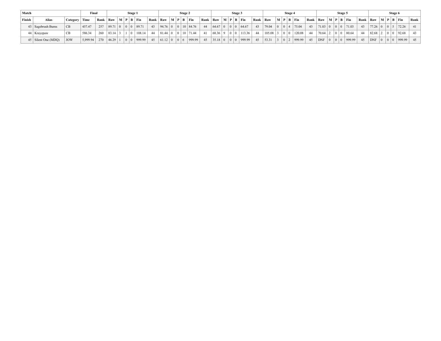| Match  |                       |                 | Final    |                        |             | Stage 1                                   |                         |                                                                    |                        |                                        | Stage 2          |              |          |           | Stage 3 |                   |      |            |                   | Stage 4 |                                 |      |             |  | Stage 5                                               |    |                              |  | Stage 6 |                 |      |
|--------|-----------------------|-----------------|----------|------------------------|-------------|-------------------------------------------|-------------------------|--------------------------------------------------------------------|------------------------|----------------------------------------|------------------|--------------|----------|-----------|---------|-------------------|------|------------|-------------------|---------|---------------------------------|------|-------------|--|-------------------------------------------------------|----|------------------------------|--|---------|-----------------|------|
| Finish | Alias                 | Category   Time |          | $Rank$ Raw $M$ P B Fin |             |                                           |                         | $\vert$ Rank $\vert$ Raw $\vert$ M $\vert$ P $\vert$ B $\vert$ Fin |                        |                                        |                  |              | Rank Raw |           |         | $M$   P   B   Fin | Rank | Raw        |                   |         | $\mid M \mid P \mid B \mid Fin$ | Rank |             |  | $\vert$ Raw $\vert$ M $\vert$ P $\vert$ B $\vert$ Fin |    | Rank   Raw   M   P   B   Fin |  |         |                 | Rank |
|        | 43   Sagebrush Burns  | l CB            | 457.47   |                        |             |                                           | $257$ 89.71 0 0 0 89.71 | 43                                                                 | $94.76$ 0 0 10 84.76   |                                        |                  | 44           |          | $64.67$ 0 |         | 64.67             | 43   | 79.04      | $\overline{0}$    |         | 175.04                          | 43   | 71.03 0     |  |                                                       |    | 43   77.26   0   0   5       |  |         | 72.26           | 41   |
|        | 44   Krayzpaw         | CB              | 586.34   | 260                    | $83.14$ 3 1 | $1 \mid 0$                                | $108.14$ +              | 44                                                                 | 81.44 0                |                                        | $0$   10   71.44 |              |          | 68.36 9   |         | 113.36            | 44   | $105.08$ 3 |                   |         | $120.08 +$                      | -44  | $70.64$   2 |  | 1010180.64                                            | 44 | $82.68$   2   0   0          |  |         | $ 92.68\rangle$ | 43   |
|        | 45   Silent One (MDQ) | <b>JOW</b>      | 5.999.94 | 270                    | 46.29 1     | $\begin{array}{c c} 0 & 0 \\ \end{array}$ | 999.99                  |                                                                    | $45 \t   61.12 \t   0$ | $\begin{array}{c c} 0 & 6 \end{array}$ |                  | 999.99<br>45 |          | 35.18 0   |         | 999.99            | 45   | 53.31      | $\vert 3 \vert 0$ |         | $-12   999.99   42$             |      | <b>DNF</b>  |  | $\vert 0 \vert 0 \vert 999.99$                        |    | 45   DNF   0   0   0         |  |         | $ 999.99 $ 45   |      |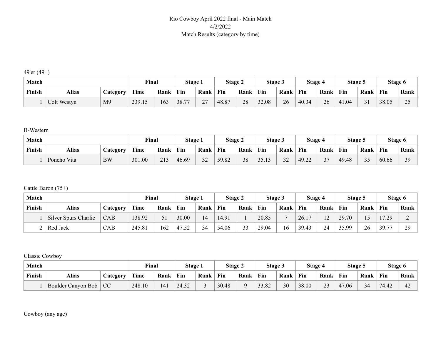### Rio Cowboy April 2022 final - Main Match 4/2/2022 Match Results (category by time)

49'er (49+)

| Match  |              |                 | <b>Final</b> |      | Stage 1 |                           | <b>Stage 2</b> |      | <b>Stage 3</b> |      | Stage 4 |      | Stage 5 |      | Stage 6 |            |
|--------|--------------|-----------------|--------------|------|---------|---------------------------|----------------|------|----------------|------|---------|------|---------|------|---------|------------|
| Finish | <b>Alias</b> | <b>Category</b> | Time         | Rank | Fin     | Rank                      | Fin            | Rank | Fin            | Rank | Fin     | Rank | Fin     | Rank | Fin     | Rank       |
|        | Colt Westyn  | M <sub>9</sub>  | 239.15       | 163  | 38.77   | $\sim$<br>$\sim$ $\prime$ | 48.87          | 28   | 32.08          | 26   | 40.34   | 26   | 41.04   | 31   | 38.05   | 25<br>ت سے |

B-Western

| Match  |             |           | Final  |      | Stage 1 |                               | <b>Stage 2</b> |      | Stage 3 |                     | Stage 4 |                         | Stage 5 |           |       | Stage 6 |
|--------|-------------|-----------|--------|------|---------|-------------------------------|----------------|------|---------|---------------------|---------|-------------------------|---------|-----------|-------|---------|
| Finish | Alias       | Jategory  | Time   | Rank | Fin     | Rank                          | Fin            | Rank | Fin     | Rank                | Fin     | Rank                    | Fin     | Rank      | Fin   | Rank    |
|        | Poncho Vita | <b>BW</b> | 301.00 | 213  | 46.69   | $\sim$<br>$\leftarrow$<br>ے ر | 59.82          | 38   | 3513    | $\mathbf{a}$<br>ے ر | 49.22   | $\sim$<br>$\mathcal{L}$ | 49.48   | 25<br>ن ر | 60.66 | 39      |

Cattle Baron (75+)

| <b>Match</b> |                      |          | Final  |      | Stage 1 |      | Stage 2 |      | Stage 3 |      | Stage 4 |                | Stage 5 |      | Stage 6 |      |
|--------------|----------------------|----------|--------|------|---------|------|---------|------|---------|------|---------|----------------|---------|------|---------|------|
| Finish       | <b>Alias</b>         | Category | Time   | Rank | Fin     | Rank | Fin     | Rank | Fin     | Rank | Fin     | Rank           | Fin     | Rank | Fin     | Rank |
|              | Silver Spurs Charlie | CAB      | 138.92 |      | 30.00   | 14   | 14.91   |      | 20.85   |      | 26.17   | 1 <sub>2</sub> | 29.70   |      | 17.29   | ∼    |
|              | Red Jack             | CAB      | 245.81 | 162  | 47.52   | 34   | 54.06   | 33   | 29.04   | 16   | 39.43   | 24             | 35.99   | 26   | 39.77   | 29   |

Classic Cowboy

| Match  |                    |                 | <b>Final</b> |      | <b>Stage 1</b> |      | <b>Stage 2</b> |          | Stage 5 |      | Stage 4 |                 | Stage 5 |      | Stage 6 |      |
|--------|--------------------|-----------------|--------------|------|----------------|------|----------------|----------|---------|------|---------|-----------------|---------|------|---------|------|
| Finish | <b>Alias</b>       | <i>Category</i> | <b>Time</b>  | Rank | Fin            | Rank | Fin            | Rank     | Fin     | Rank | Fin     | Rank            | Fin     | Rank | Fin     | Rank |
|        | Boulder Canyon Bob | <b>CC</b>       | 248.10       | 141  | 24.32          |      | 30.48          | $\Omega$ | 33.82   | 30   | 38.00   | $\bigcap$<br>دړ | 47.06   | 34   | 74.42   | 42   |

Cowboy (any age)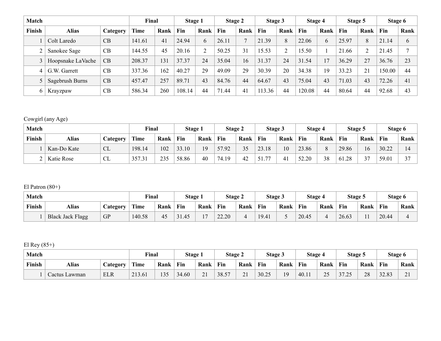| Match  |                   |           | Final  |      | Stage 1 |      | Stage 2 |                | Stage 3 |      | Stage 4 |      | Stage 5 |      | Stage 6 |      |
|--------|-------------------|-----------|--------|------|---------|------|---------|----------------|---------|------|---------|------|---------|------|---------|------|
| Finish | <b>Alias</b>      | Category  | Time   | Rank | Fin     | Rank | Fin     | Rank           | Fin     | Rank | Fin     | Rank | Fin     | Rank | Fin     | Rank |
|        | Colt Laredo       | CB        | 141.61 | 41   | 24.94   | 6    | 26.11   | $\overline{7}$ | 21.39   | 8    | 22.06   | b    | 25.97   | 8    | 21.14   | 6    |
| ⌒      | Sanokee Sage      | CB        | 144.55 | 45   | 20.16   | 2    | 50.25   | 31             | 15.53   |      | 15.50   |      | 21.66   | 2    | 21.45   |      |
|        | Hoopsnake LaVache | CB        | 208.37 | 131  | 37.37   | 24   | 35.04   | 16             | 31.37   | 24   | 31.54   |      | 36.29   | 27   | 36.76   | 23   |
| 4      | G.W. Garrett      | CB        | 337.36 | 162  | 40.27   | 29   | 49.09   | 29             | 30.39   | 20   | 34.38   | 19   | 33.23   | 21   | 150.00  | 44   |
|        | Sagebrush Burns   | CB        | 457.47 | 257  | 89.71   | 43   | 84.76   | 44             | 64.67   | 43   | 75.04   | 43   | 71.03   | 43   | 72.26   | 41   |
| 6      | Krayzpaw          | <b>CB</b> | 586.34 | 260  | 108.14  | 44   | 71.44   | 41             | 113.36  | 44   | 120.08  | 44   | 80.64   | 44   | 92.68   | 43   |

# Cowgirl (any Age)

| Match  |             |          | Final  |      | Stage 1 |      | Stage 2 |           | <b>Stage 3</b> |                       | Stage 4     |          | Stage 5 |               |       | Stage 6        |
|--------|-------------|----------|--------|------|---------|------|---------|-----------|----------------|-----------------------|-------------|----------|---------|---------------|-------|----------------|
| Finish | Alias       | Category | Time   | Rank | Fin     | Rank | Fin     | Rank      | Fin            | Rank                  | Fin         | Rank     | Fin     | Rank          | Fin   | Rank           |
|        | Kan-Do Kate | CL       | 198.14 | 102  | 33.10   | 19   | 57.92   | 35<br>ں ر | 23.18          | 10                    | 23.86       | $\Omega$ | 29.86   | 16            | 30.22 | $\overline{4}$ |
| ∼      | Katie Rose  | CL       | 357.31 | 235  | 58.86   | 40   | 74.19   | 42        | 77             | $\mathcal{A}^{\cdot}$ | 52.20<br>52 | 38       | 61.28   | $\gamma$<br>ັ | 59.0  | $\sim$         |

El Patron (80+)

| Match  |                         |                       | <b>Final</b> |      | Stage 1 |                | Stage 2 |      | Stage 3 |      | <b>Stage 4</b> |      | Stage 5 |      | Stage 6 |      |
|--------|-------------------------|-----------------------|--------------|------|---------|----------------|---------|------|---------|------|----------------|------|---------|------|---------|------|
| Finish | <b>Alias</b>            | $\mathcal{L}$ ategory | Time         | Rank | Fin     | Rank           | Fin     | Rank | Fin     | Rank | Fin            | Rank | Fin     | Rank | Fin     | Rank |
|        | <b>Black Jack Flagg</b> | <b>GP</b>             | 140.58       | 45   | 31.45   | 1 <sub>7</sub> | 22.20   |      | 19.41   |      | 20.45          |      | 26.63   |      | 20.44   | ഺ    |

El Rey (85+)

| Match         |               |                 | $v_{\text{inal}}$ |          | Stage 1    |                        | Stage 2 |             | Stage 3 |      | Stage 4 |                 | Stage 5        |      |       | Stage 6                              |
|---------------|---------------|-----------------|-------------------|----------|------------|------------------------|---------|-------------|---------|------|---------|-----------------|----------------|------|-------|--------------------------------------|
| <b>Finish</b> | Alias         | <b>Category</b> | Time              | Rank     | <b>Fin</b> | Rank                   | Fin     | Rank        | Fin     | Rank | Fin     | Rank            | Fin            | Rank | Fin   | Rank                                 |
|               | Cactus Lawman | <b>ELR</b>      | 213.61            | 135<br>. | 34.60      | $\sim$ 1<br>$\angle 1$ | 38.57   | $^{\sim}$ 1 | 30.25   | 1 Q  | 40.11   | $\gamma$<br>ر ب | 2725<br>ت ہے . | 28   | 32.83 | $\sim$<br>$\overline{\phantom{a}}$ . |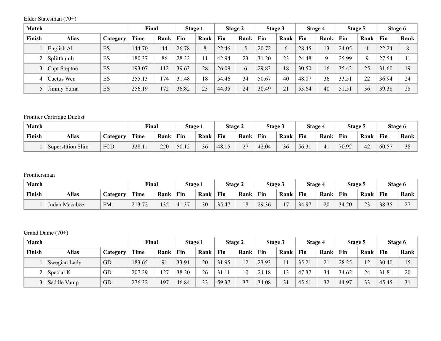Elder Statesman (70+)

| Match  |              |          | Final       |      | Stage 1   |      | Stage 2 |      | Stage 3 |      | Stage 4 |      | Stage 5 |      |       | Stage 6 |
|--------|--------------|----------|-------------|------|-----------|------|---------|------|---------|------|---------|------|---------|------|-------|---------|
| Finish | <b>Alias</b> | Category | <b>Time</b> | Rank | Fin       | Rank | Fin     | Rank | Fin     | Rank | Fin     | Rank | Fin     | Rank | Fin   | Rank    |
|        | English Al   | ES       | 144.70      | 44   | 26.78     | 8    | 22.46   | 5    | 20.72   | 6    | 28.45   | 13   | 24.05   | 4    | 22.24 | 8       |
|        | Splitthumb   | ES       | 180.37      | 86   | 28.22     |      | 42.94   | 23   | 31.20   | 23   | 24.48   | Q    | 25.99   | Q    | 27.54 |         |
|        | Capt Steptoe | ES       | 193.07      | 12   | 39.63     | 28   | 26.09   | 6    | 29.83   | 18   | 30.50   | 16   | 35.42   | 25   | 31.60 | 19      |
| 4      | Cactus Wen   | ES       | 255.13      | 174  | .48<br>31 | 18   | 54.46   | 34   | 50.67   | 40   | 48.07   | 36   | 33.51   | 22   | 36.94 | 24      |
|        | Jimmy Yuma   | ES       | 256.19      | 172  | 36.82     | 23   | 44.35   | 24   | 30.49   | 21   | 53.64   | 40   | 51.51   | 36   | 39.38 | 28      |

# Frontier Cartridge Duelist

| Match  |                          |                 | <b>Final</b> |      | Stage 1 |      | <b>Stage 2</b> |            | <b>Stage 3</b>        |      | Stage 4 |      | <b>Stage 5</b> |      |       | Stage 6 |
|--------|--------------------------|-----------------|--------------|------|---------|------|----------------|------------|-----------------------|------|---------|------|----------------|------|-------|---------|
| Finish | Alias                    | <b>Category</b> | Time         | Rank | Fin     | Rank | Fin            | Rank       | Fin                   | Rank | Fin     | Rank | Fin            | Rank | Fin   | Rank    |
|        | <b>Superstition Slim</b> | FCD             | 328.11       | 220  | 50.12   | 36   | 48.15          | דר<br>ر ہے | 42.04<br>$\leftarrow$ | 36   | 56.31   | 41   | 70.92          | 42   | 60.57 | 20      |

#### Frontiersman

| <b>Match</b> |               |                 | <b>Final</b> |      | <b>Stage 1</b> |      | Stage 2 |      | Stage 5 |                          | <b>Stage 4</b> |      | Stage 5 |                          | Stage 6 |                          |
|--------------|---------------|-----------------|--------------|------|----------------|------|---------|------|---------|--------------------------|----------------|------|---------|--------------------------|---------|--------------------------|
| Finish       | Alias         | <b>Category</b> | Time         | Rank | Fin            | Rank | Fin     | Rank | Fin     | Rank                     | <b>Fin</b>     | Rank | Fin     | Rank                     | Fin     | Rank                     |
|              | Judah Macabee | <b>FM</b>       | 213.72       | 135  | 41.37<br>1.J   | 30   | 35.47   | 18   | 29.36   | $\overline{\phantom{0}}$ | 34.97          | 20   | 34.20   | $\mathbf{\Omega}$<br>ر_ر | 38.35   | $\sim$<br>$\overline{ }$ |

#### Grand Dame (70+)

| Match  |              |          | Final  |      | Stage 1 |      | Stage 2 |      | <b>Stage 3</b> |                | Stage 4 |      | Stage 5 |      |       | Stage 6 |
|--------|--------------|----------|--------|------|---------|------|---------|------|----------------|----------------|---------|------|---------|------|-------|---------|
| Finish | <b>Alias</b> | Category | Time   | Rank | Fin     | Rank | Fin     | Rank | Fin            | Rank           | Fin     | Rank | Fin     | Rank | Fin   | Rank    |
|        | Swegian Lady | GD       | 183.65 | 91   | 33.91   | 20   | 31.95   | 12   | 23.93          |                | 35.21   | 21   | 28.25   | 12   | 30.40 |         |
|        | Special K    | GD       | 207.29 | 127  | 38.20   | 26   | 31.11   | 10   | 24.18          |                | 47.37   | 34   | 34.62   | 24   | 31.81 | 20      |
|        | Saddle Vamp  | GD       | 276.32 | 197  | 46.84   | 33   | 59.37   | 37   | 34.08          | 3 <sup>1</sup> | 45.61   | 32   | 44.97   | 33   | 45.45 | 31      |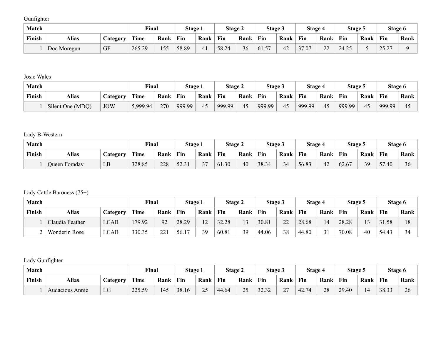Gunfighter

| <b>Match</b> |             |                 | <b>Final</b> |      | Stage 1 |      | Stage 2 |      | <b>Stage 3</b> |                 | Stage 4              |              | Stage 5 |      | Stage 6                 |      |
|--------------|-------------|-----------------|--------------|------|---------|------|---------|------|----------------|-----------------|----------------------|--------------|---------|------|-------------------------|------|
| Finish       | Alias       | <b>Category</b> | <b>Time</b>  | Rank | Fin     | Rank | Fin     | Rank | Fin            | Rank            | Fin                  | Rank         | Fin     | Rank | Fin                     | Rank |
|              | Doc Moregun | <b>GF</b>       | 265.29       | 55   | 58.89   | 41   | 58.24   | 36   | 57<br>01.J     | $\Lambda$<br>42 | $\sim$ $\sim$<br>.07 | $\sim$<br>∠∠ | 24.25   | ັ    | 75 77<br>$\overline{L}$ |      |

Josie Wales

| Match  |                  |            | Final    |      | Stage 1 |      | Stage 2 |      | Stage 5 |      | Stage 4 |      | <b>Stage 5</b> |      | Stage 6 |                     |
|--------|------------------|------------|----------|------|---------|------|---------|------|---------|------|---------|------|----------------|------|---------|---------------------|
| Finish | Alias            | Jategory   | Time     | Rank | Fin     | Rank | Fin     | Rank | Fin     | Rank | Fin     | Rank | Fin            | Rank | Fin     | Rank                |
|        | Silent One (MDQ) | <b>JOW</b> | 5,999.94 | 270  | 999.99  | 45   | 999.99  | 45   | 999.99  | 45   | 999.99  | 45   | 999.99         | 45   | 999.99  | $\Delta^{\epsilon}$ |

# Lady B-Western

| Match  |               |                 | <b>Final</b> |      | Stage 1 |              | <b>Stage 2</b> |      | Stage 3 |         | Stage 4 |      | Stage 5 |      |             | Stage 6 |
|--------|---------------|-----------------|--------------|------|---------|--------------|----------------|------|---------|---------|---------|------|---------|------|-------------|---------|
| Finish | Alias         | <b>Lategory</b> | Time         | Rank | Fin     | Rank         | Fin            | Rank | Fin     | Rank    | Fin     | Rank | Fin     | Rank | Fin         | Rank    |
|        | Queen Foraday | LB              | 328.85       | 228  | 52.31   | $\sim$<br>J. | 61.30          | 40   | 38.34   | 34<br>ັ | 56.83   | 42   | 62.67   | 39   | $ -$<br>.40 | 36      |

# Lady Cattle Baroness (75+)

| Match  |                      |             | Final  |             | Stage 1                |                       | Stage 2 |              | Stage 3 |              | <b>Stage 4</b> |      | Stage 5 |                | Stage 6 |                |
|--------|----------------------|-------------|--------|-------------|------------------------|-----------------------|---------|--------------|---------|--------------|----------------|------|---------|----------------|---------|----------------|
| Finish | Alias                | Category    | Time   | Rank        | Fin                    | Rank                  | Fin     | Rank         | Fin     | Rank         | Fin            | Rank | Fin     | Rank           | Fin     | Rank           |
|        | Claudia Feather      | <b>LCAB</b> | 179.92 | 92          | 28.29                  | 1 <sub>2</sub><br>- 2 | 32.28   | $1^{\wedge}$ | 30.81   | $\mathbf{A}$ | 28.68          | 14   | 28.28   | 1 <sub>2</sub> | .58     | 1 <sup>o</sup> |
| ∸      | <b>Wonderin Rose</b> | <b>LCAB</b> | 330.35 | 221<br>44 . | 56.1<br>1 <sub>7</sub> | 39                    | 60.81   | 39           | 44.06   | 38           | 44.80          |      | 70.08   | 40             | 54.43   | 34<br>◡        |

Lady Gunfighter

| Match  |                 |                 | <b>Final</b> |      | <b>Stage 1</b> |      | <b>Stage 2</b> |      | <b>Stage 3</b>                |             | Stage 4      |      | Stage 5 |      |       | Stage 6 |
|--------|-----------------|-----------------|--------------|------|----------------|------|----------------|------|-------------------------------|-------------|--------------|------|---------|------|-------|---------|
| Finish | Alias           | <b>Category</b> | Time         | Rank | Fin            | Rank | Fin            | Rank | Fin                           | Rank        | Fin          | Rank | Fin     | Rank | Fin   | Rank    |
|        | Audacious Annie | LG              | 225.59       | 45   | 38.16          | 25   | 44.64          | つく   | $\Omega$<br>$\sim$<br>ے رہے ر | $\sim$<br>∼ | 42 74<br>42. | 28   | 29.40   | 14   | 38.33 | 26      |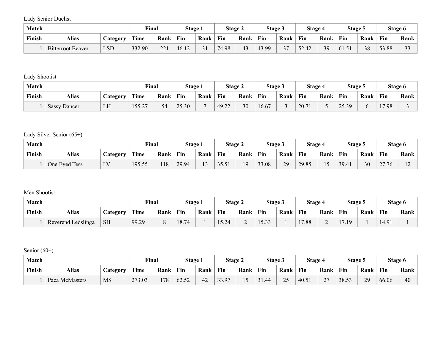Lady Senior Duelist

| <b>Match</b> |                          |                 | <b>Final</b> |            | Stage 1 |                   | <b>Stage 2</b> |      | Stage 3                |        | Stage 4                    |      | Stage 5   |      |       | Stage 6 |
|--------------|--------------------------|-----------------|--------------|------------|---------|-------------------|----------------|------|------------------------|--------|----------------------------|------|-----------|------|-------|---------|
| Finish       | <b>Alias</b>             | <b>Category</b> | Time         | Rank       | Fin     | Rank              | Fin            | Rank | <b>Fin</b>             | Rank   | Fin                        | Rank | Fin       | Rank | Fin   | Rank    |
|              | <b>Bitterroot Beaver</b> | <b>LSD</b>      | 332.90       | 221<br>441 | 46.12   | $\bigcap$ 1<br>υI | 74.98          | 43   | 13.99<br>41<br>т., , , | $\sim$ | .42<br>$\sqrt{2}$<br>. سەر | 39   | $161.5$ . | 38   | 53.88 | $\sim$  |

Lady Shootist

| Match  |                 |                 | <b>Final</b> |      | Stage 1 |                | Stage 2 |      | Stage 5 |      | Stage 4 |                          | Stage 5 |      |       | Stage 6 |
|--------|-----------------|-----------------|--------------|------|---------|----------------|---------|------|---------|------|---------|--------------------------|---------|------|-------|---------|
| Finish | Alias           | <b>Category</b> | Time         | Rank | Fin     | Rank           | Fin     | Rank | Fin     | Rank | Fin     | Rank                     | Fin     | Rank | Fin   | Rank    |
|        | Sassy<br>Dancer | LH              | 155.27       | 54   | 25.30   | $\overline{a}$ | 49.22   | 30   | 16.67   |      | 20.1    | $\overline{\phantom{0}}$ | 25.39   |      | 17.98 |         |

Lady Silver Senior (65+)

| <b>Match</b> |               |                                      | <b>Final</b> |      | Stage 1 |        | <b>Stage 2</b> |      | Stage 3 |      | Stage 4 |      | Stage 5 |      |       | Stage 6     |
|--------------|---------------|--------------------------------------|--------------|------|---------|--------|----------------|------|---------|------|---------|------|---------|------|-------|-------------|
| Finish       | <b>Alias</b>  | Category                             | Time         | Rank | Fin     | Rank   | Fin            | Rank | Fin     | Rank | Fin     | Rank | Fin     | Rank | Fin   | <b>Rank</b> |
|              | One Eyed Tess | $\overline{I}$ $\overline{V}$<br>⊥ ∨ | 195.55       | 18   | 29.94   | $\sim$ | 35.51          | 19   | 33.08   | 29   | 29.85   |      | 39.41   | 30   | 27.76 | $\sim$<br>∸ |

#### Men Shootist

| Match  |                    | <b>Final</b>    |       | Stage 1 |       | <b>Stage 2</b> |       | <b>Stage 3</b> |                   | Stage 4 |      | Stage 5 |     | Stage 6 |       |          |
|--------|--------------------|-----------------|-------|---------|-------|----------------|-------|----------------|-------------------|---------|------|---------|-----|---------|-------|----------|
| Finish | <b>Alias</b>       | <b>Category</b> | Time  | Rank    | Fin   | Rank           | Fin   | Rank           | Fin               | Rank    | Fin  | Rank    | Fin | Rank    | Fin   | $Rank_1$ |
|        | Reverend Ledslinga | <b>SH</b>       | 99.29 |         | 18.74 |                | 15.24 | ∼              | $-22$<br>. J .J J |         | 7.88 | ∽       | 10  |         | 14.91 |          |

Senior (60+)

| Match  |                | Final     |        | Stage 1 |       | Stage 2 |       | Stage 3        |      | Stage 4   |      | Stage 5                            |       | Stage 6 |       |      |
|--------|----------------|-----------|--------|---------|-------|---------|-------|----------------|------|-----------|------|------------------------------------|-------|---------|-------|------|
| Finish | Alias          | Jategory  | Time   | Rank    | Fin   | Rank    | Fin   | Rank           | Fin  | Rank      | Fin  | Rank                               | Fin   | Rank    | Fin   | Rank |
|        | Paca McMasters | <b>MS</b> | 273.03 | 178     | 62.52 | 42      | 33.97 | $\overline{ }$ | 1.44 | 25<br>ں ت | 40.5 | $\sim$<br>$\overline{\phantom{0}}$ | 38.53 | 29      | 66.06 | 40   |